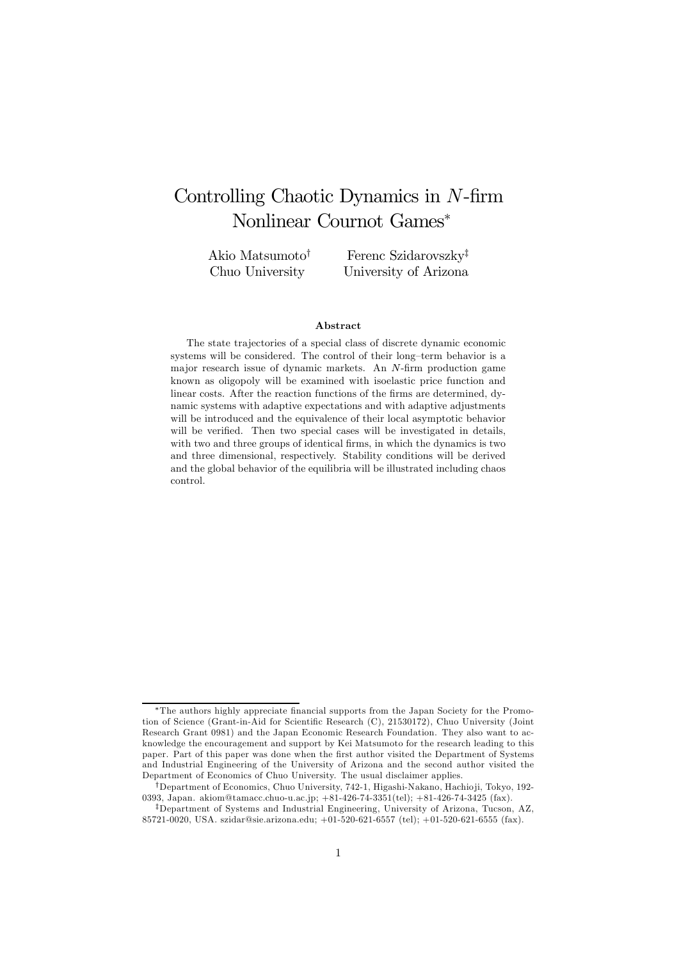# Controlling Chaotic Dynamics in N-firm Nonlinear Cournot Games<sup>∗</sup>

Akio Matsumoto† Chuo University Ferenc Szidarovszky‡ University of Arizona

#### Abstract

The state trajectories of a special class of discrete dynamic economic systems will be considered. The control of their long—term behavior is a major research issue of dynamic markets. An N-firm production game known as oligopoly will be examined with isoelastic price function and linear costs. After the reaction functions of the firms are determined, dynamic systems with adaptive expectations and with adaptive adjustments will be introduced and the equivalence of their local asymptotic behavior will be verified. Then two special cases will be investigated in details, with two and three groups of identical firms, in which the dynamics is two and three dimensional, respectively. Stability conditions will be derived and the global behavior of the equilibria will be illustrated including chaos control.

<sup>∗</sup>The authors highly appreciate financial supports from the Japan Society for the Promotion of Science (Grant-in-Aid for Scientific Research (C), 21530172), Chuo University (Joint Research Grant 0981) and the Japan Economic Research Foundation. They also want to acknowledge the encouragement and support by Kei Matsumoto for the research leading to this paper. Part of this paper was done when the first author visited the Department of Systems and Industrial Engineering of the University of Arizona and the second author visited the Department of Economics of Chuo University. The usual disclaimer applies.

<sup>†</sup>Department of Economics, Chuo University, 742-1, Higashi-Nakano, Hachio ji, Tokyo, 192- 0393, Japan. akiom@tamacc.chuo-u.ac.jp; +81-426-74-3351(tel); +81-426-74-3425 (fax).

<sup>‡</sup>Department of Systems and Industrial Engineering, University of Arizona, Tucson, AZ, 85721-0020, USA. szidar@sie.arizona.edu; +01-520-621-6557 (tel); +01-520-621-6555 (fax).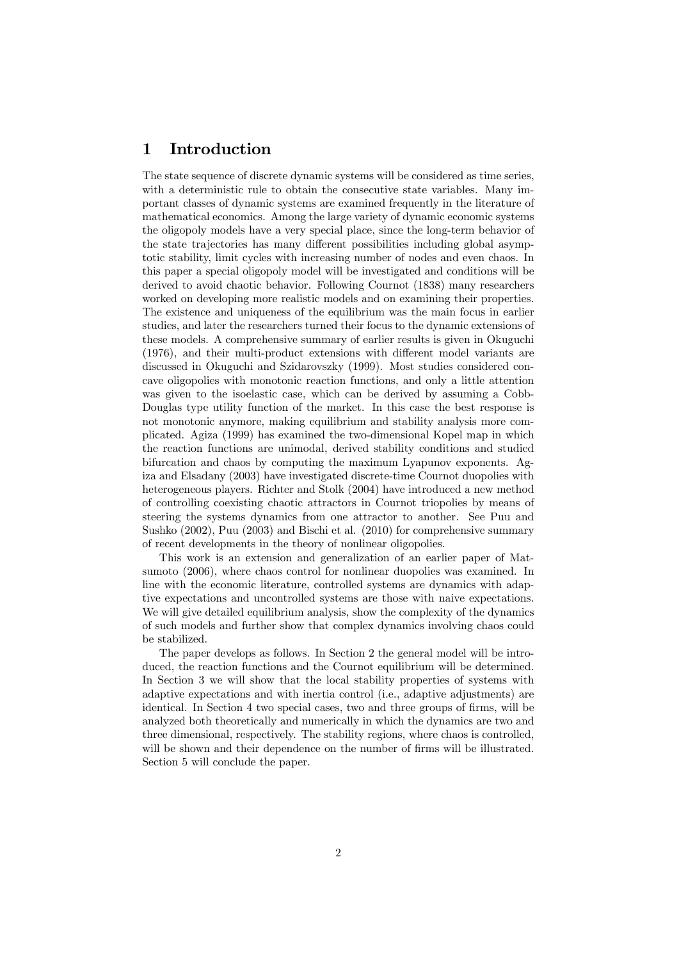### 1 Introduction

The state sequence of discrete dynamic systems will be considered as time series, with a deterministic rule to obtain the consecutive state variables. Many important classes of dynamic systems are examined frequently in the literature of mathematical economics. Among the large variety of dynamic economic systems the oligopoly models have a very special place, since the long-term behavior of the state trajectories has many different possibilities including global asymptotic stability, limit cycles with increasing number of nodes and even chaos. In this paper a special oligopoly model will be investigated and conditions will be derived to avoid chaotic behavior. Following Cournot (1838) many researchers worked on developing more realistic models and on examining their properties. The existence and uniqueness of the equilibrium was the main focus in earlier studies, and later the researchers turned their focus to the dynamic extensions of these models. A comprehensive summary of earlier results is given in Okuguchi (1976), and their multi-product extensions with different model variants are discussed in Okuguchi and Szidarovszky (1999). Most studies considered concave oligopolies with monotonic reaction functions, and only a little attention was given to the isoelastic case, which can be derived by assuming a Cobb-Douglas type utility function of the market. In this case the best response is not monotonic anymore, making equilibrium and stability analysis more complicated. Agiza (1999) has examined the two-dimensional Kopel map in which the reaction functions are unimodal, derived stability conditions and studied bifurcation and chaos by computing the maximum Lyapunov exponents. Agiza and Elsadany (2003) have investigated discrete-time Cournot duopolies with heterogeneous players. Richter and Stolk (2004) have introduced a new method of controlling coexisting chaotic attractors in Cournot triopolies by means of steering the systems dynamics from one attractor to another. See Puu and Sushko (2002), Puu (2003) and Bischi et al. (2010) for comprehensive summary of recent developments in the theory of nonlinear oligopolies.

This work is an extension and generalization of an earlier paper of Matsumoto (2006), where chaos control for nonlinear duopolies was examined. In line with the economic literature, controlled systems are dynamics with adaptive expectations and uncontrolled systems are those with naive expectations. We will give detailed equilibrium analysis, show the complexity of the dynamics of such models and further show that complex dynamics involving chaos could be stabilized.

The paper develops as follows. In Section 2 the general model will be introduced, the reaction functions and the Cournot equilibrium will be determined. In Section 3 we will show that the local stability properties of systems with adaptive expectations and with inertia control (i.e., adaptive adjustments) are identical. In Section 4 two special cases, two and three groups of firms, will be analyzed both theoretically and numerically in which the dynamics are two and three dimensional, respectively. The stability regions, where chaos is controlled, will be shown and their dependence on the number of firms will be illustrated. Section 5 will conclude the paper.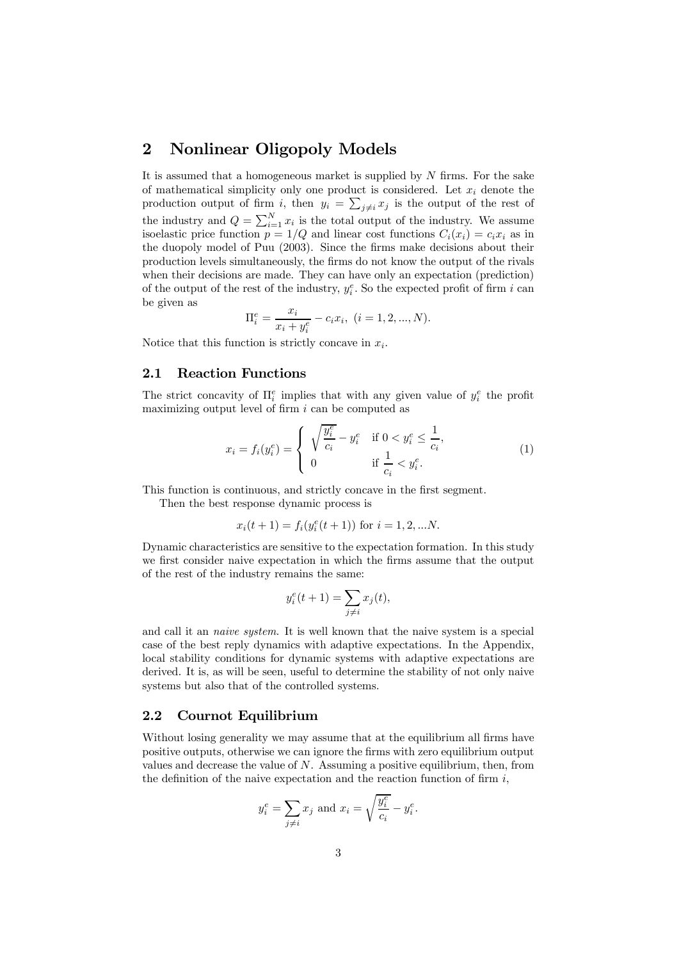### 2 Nonlinear Oligopoly Models

It is assumed that a homogeneous market is supplied by  $N$  firms. For the sake of mathematical simplicity only one product is considered. Let  $x_i$  denote the production output of firm i, then  $y_i = \sum_{j \neq i} x_j$  is the output of the rest of the industry and  $Q = \sum_{i=1}^{N} x_i$  is the total output of the industry. We assume isoelastic price function  $p = 1/Q$  and linear cost functions  $C_i(x_i) = c_i x_i$  as in the duopoly model of Puu (2003). Since the firms make decisions about their production levels simultaneously, the firms do not know the output of the rivals when their decisions are made. They can have only an expectation (prediction) of the output of the rest of the industry,  $y_i^e$ . So the expected profit of firm i can be given as

$$
\Pi_i^e = \frac{x_i}{x_i + y_i^e} - c_i x_i, \ (i = 1, 2, ..., N).
$$

Notice that this function is strictly concave in  $x_i$ .

#### 2.1 Reaction Functions

The strict concavity of  $\Pi_i^e$  implies that with any given value of  $y_i^e$  the profit maximizing output level of firm  $i$  can be computed as

$$
x_i = f_i(y_i^e) = \begin{cases} \sqrt{\frac{y_i^e}{c_i}} - y_i^e & \text{if } 0 < y_i^e \le \frac{1}{c_i}, \\ 0 & \text{if } \frac{1}{c_i} < y_i^e. \end{cases}
$$
 (1)

This function is continuous, and strictly concave in the first segment.

Then the best response dynamic process is

$$
x_i(t+1) = f_i(y_i^e(t+1))
$$
 for  $i = 1, 2, ...N$ .

Dynamic characteristics are sensitive to the expectation formation. In this study we first consider naive expectation in which the firms assume that the output of the rest of the industry remains the same:

$$
y_i^e(t+1) = \sum_{j \neq i} x_j(t),
$$

and call it an naive system. It is well known that the naive system is a special case of the best reply dynamics with adaptive expectations. In the Appendix, local stability conditions for dynamic systems with adaptive expectations are derived. It is, as will be seen, useful to determine the stability of not only naive systems but also that of the controlled systems.

### 2.2 Cournot Equilibrium

Without losing generality we may assume that at the equilibrium all firms have positive outputs, otherwise we can ignore the firms with zero equilibrium output values and decrease the value of  $N$ . Assuming a positive equilibrium, then, from the definition of the naive expectation and the reaction function of firm  $i$ ,

$$
y_i^e = \sum_{j \neq i} x_j
$$
 and  $x_i = \sqrt{\frac{y_i^e}{c_i}} - y_i^e$ .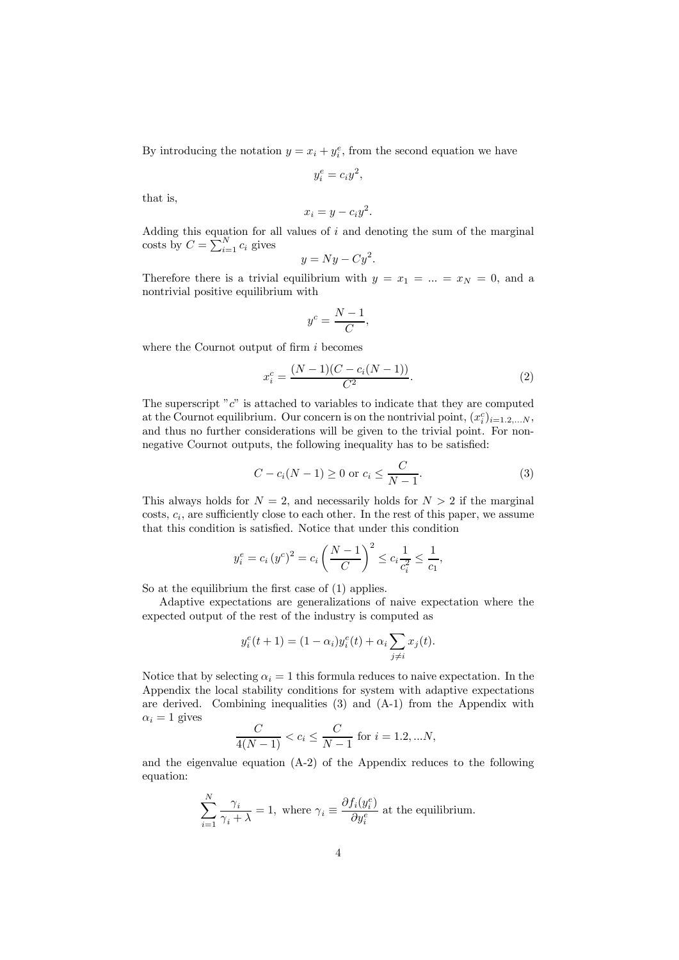By introducing the notation  $y = x_i + y_i^e$ , from the second equation we have

$$
y_i^e = c_i y^2,
$$

that is,

$$
x_i = y - c_i y^2.
$$

Adding this equation for all values of  $i$  and denoting the sum of the marginal costs by  $C = \sum_{i=1}^{N} c_i$  gives

$$
y = Ny - Cy^2.
$$

Therefore there is a trivial equilibrium with  $y = x_1 = ... = x_N = 0$ , and a nontrivial positive equilibrium with

$$
y^c = \frac{N-1}{C},
$$

where the Cournot output of firm  $i$  becomes

$$
x_i^c = \frac{(N-1)(C - c_i(N-1))}{C^2}.
$$
\n(2)

The superscript " $c$ " is attached to variables to indicate that they are computed at the Cournot equilibrium. Our concern is on the nontrivial point,  $(x_i^c)_{i=1,2,...N}$ , and thus no further considerations will be given to the trivial point. For nonnegative Cournot outputs, the following inequality has to be satisfied:

$$
C - c_i(N - 1) \ge 0 \text{ or } c_i \le \frac{C}{N - 1}.
$$
 (3)

This always holds for  $N = 2$ , and necessarily holds for  $N > 2$  if the marginal costs,  $c_i$ , are sufficiently close to each other. In the rest of this paper, we assume that this condition is satisfied. Notice that under this condition

$$
y_i^e = c_i (y^c)^2 = c_i \left(\frac{N-1}{C}\right)^2 \leq c_i \frac{1}{c_i^2} \leq \frac{1}{c_1},
$$

So at the equilibrium the first case of (1) applies.

Adaptive expectations are generalizations of naive expectation where the expected output of the rest of the industry is computed as

$$
y_i^e(t+1) = (1 - \alpha_i)y_i^e(t) + \alpha_i \sum_{j \neq i} x_j(t).
$$

Notice that by selecting  $\alpha_i = 1$  this formula reduces to naive expectation. In the Appendix the local stability conditions for system with adaptive expectations are derived. Combining inequalities (3) and (A-1) from the Appendix with  $\alpha_i = 1$  gives

$$
\frac{C}{4(N-1)} < c_i \le \frac{C}{N-1} \text{ for } i = 1.2, \dots N,
$$

and the eigenvalue equation (A-2) of the Appendix reduces to the following equation:

$$
\sum_{i=1}^{N} \frac{\gamma_i}{\gamma_i + \lambda} = 1
$$
, where  $\gamma_i \equiv \frac{\partial f_i(y_i^e)}{\partial y_i^e}$  at the equilibrium.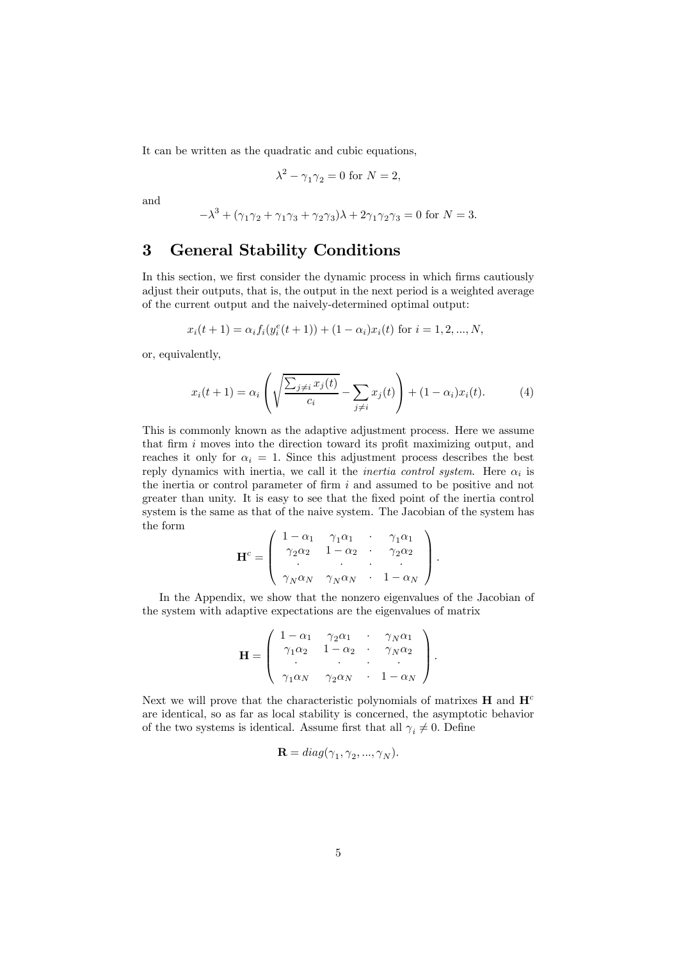It can be written as the quadratic and cubic equations,

$$
\lambda^2 - \gamma_1 \gamma_2 = 0 \text{ for } N = 2,
$$

and

$$
-\lambda^3 + (\gamma_1 \gamma_2 + \gamma_1 \gamma_3 + \gamma_2 \gamma_3)\lambda + 2\gamma_1 \gamma_2 \gamma_3 = 0
$$
 for  $N = 3$ .

## 3 General Stability Conditions

In this section, we first consider the dynamic process in which firms cautiously adjust their outputs, that is, the output in the next period is a weighted average of the current output and the naively-determined optimal output:

$$
x_i(t+1) = \alpha_i f_i(y_i^e(t+1)) + (1 - \alpha_i)x_i(t)
$$
 for  $i = 1, 2, ..., N$ ,

or, equivalently,

$$
x_i(t+1) = \alpha_i \left( \sqrt{\frac{\sum_{j \neq i} x_j(t)}{c_i}} - \sum_{j \neq i} x_j(t) \right) + (1 - \alpha_i) x_i(t). \tag{4}
$$

This is commonly known as the adaptive adjustment process. Here we assume that firm i moves into the direction toward its profit maximizing output, and reaches it only for  $\alpha_i = 1$ . Since this adjustment process describes the best reply dynamics with inertia, we call it the *inertia control system*. Here  $\alpha_i$  is the inertia or control parameter of firm  $i$  and assumed to be positive and not greater than unity. It is easy to see that the fixed point of the inertia control system is the same as that of the naive system. The Jacobian of the system has the form

$$
\mathbf{H}^c = \left( \begin{array}{cccc} 1 - \alpha_1 & \gamma_1 \alpha_1 & \cdot & \gamma_1 \alpha_1 \\ \gamma_2 \alpha_2 & 1 - \alpha_2 & \cdot & \gamma_2 \alpha_2 \\ \cdot & \cdot & \cdot & \cdot \\ \gamma_N \alpha_N & \gamma_N \alpha_N & \cdot & 1 - \alpha_N \end{array} \right).
$$

In the Appendix, we show that the nonzero eigenvalues of the Jacobian of the system with adaptive expectations are the eigenvalues of matrix

$$
\mathbf{H} = \left( \begin{array}{cccc} 1 - \alpha_1 & \gamma_2 \alpha_1 & \cdot & \gamma_N \alpha_1 \\ \gamma_1 \alpha_2 & 1 - \alpha_2 & \cdot & \gamma_N \alpha_2 \\ \cdot & \cdot & \cdot & \cdot \\ \gamma_1 \alpha_N & \gamma_2 \alpha_N & \cdot & 1 - \alpha_N \end{array} \right).
$$

Next we will prove that the characteristic polynomials of matrixes  $H$  and  $H<sup>c</sup>$ are identical, so as far as local stability is concerned, the asymptotic behavior of the two systems is identical. Assume first that all  $\gamma_i \neq 0$ . Define

$$
\mathbf{R} = diag(\gamma_1, \gamma_2, ..., \gamma_N).
$$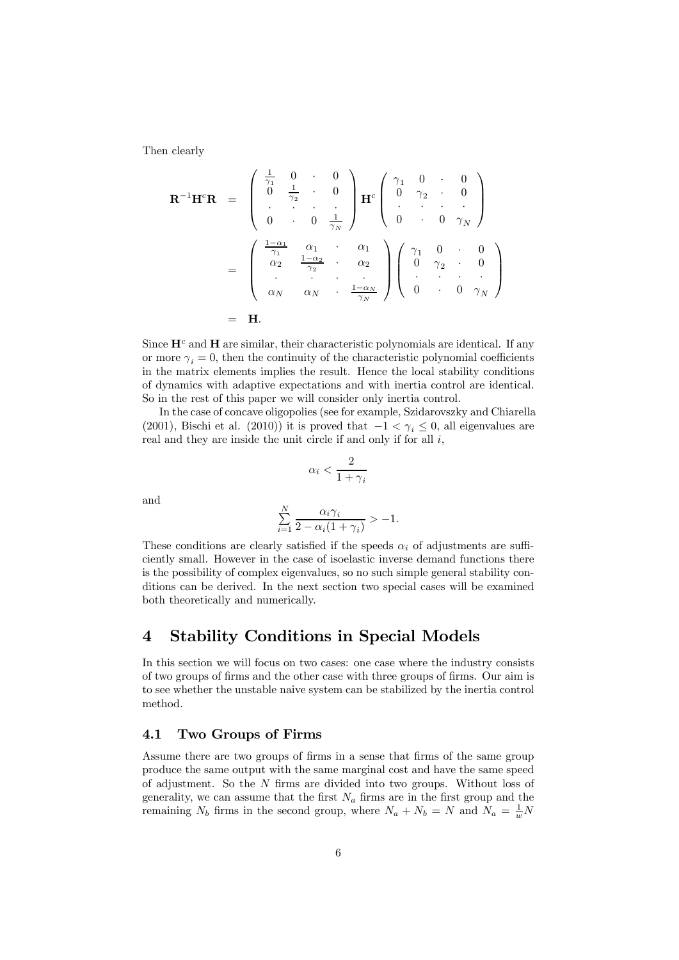Then clearly

$$
\mathbf{R}^{-1}\mathbf{H}^c\mathbf{R} = \begin{pmatrix} \frac{1}{\gamma_1} & 0 & \cdot & 0 \\ 0 & \frac{1}{\gamma_2} & \cdot & 0 \\ \cdot & \cdot & \cdot & \cdot \\ 0 & \cdot & 0 & \frac{1}{\gamma_N} \end{pmatrix} \mathbf{H}^c \begin{pmatrix} \gamma_1 & 0 & \cdot & 0 \\ 0 & \gamma_2 & \cdot & 0 \\ \cdot & \cdot & \cdot & \cdot \\ 0 & \cdot & 0 & \gamma_N \end{pmatrix}
$$

$$
= \begin{pmatrix} \frac{1-\alpha_1}{\gamma_1} & \alpha_1 & \cdot & \alpha_1 \\ \alpha_2 & \frac{1-\alpha_2}{\gamma_2} & \cdot & \alpha_2 \\ \cdot & \cdot & \cdot & \cdot \\ \alpha_N & \alpha_N & \cdot & \frac{1-\alpha_N}{\gamma_N} \end{pmatrix} \begin{pmatrix} \gamma_1 & 0 & \cdot & 0 \\ 0 & \gamma_2 & \cdot & 0 \\ \cdot & \cdot & \cdot & \cdot \\ 0 & \cdot & 0 & \gamma_N \end{pmatrix}
$$

$$
= \mathbf{H}.
$$

Since  $\mathbf{H}^c$  and  $\mathbf{H}$  are similar, their characteristic polynomials are identical. If any or more  $\gamma_i = 0$ , then the continuity of the characteristic polynomial coefficients in the matrix elements implies the result. Hence the local stability conditions of dynamics with adaptive expectations and with inertia control are identical. So in the rest of this paper we will consider only inertia control.

In the case of concave oligopolies (see for example, Szidarovszky and Chiarella (2001), Bischi et al. (2010)) it is proved that  $-1 < \gamma_i \leq 0$ , all eigenvalues are real and they are inside the unit circle if and only if for all  $i$ ,

$$
\alpha_i < \frac{2}{1+\gamma_i}
$$

and

$$
\sum_{i=1}^{N} \frac{\alpha_i \gamma_i}{2 - \alpha_i (1 + \gamma_i)} > -1.
$$

These conditions are clearly satisfied if the speeds  $\alpha_i$  of adjustments are sufficiently small. However in the case of isoelastic inverse demand functions there is the possibility of complex eigenvalues, so no such simple general stability conditions can be derived. In the next section two special cases will be examined both theoretically and numerically.

### 4 Stability Conditions in Special Models

In this section we will focus on two cases: one case where the industry consists of two groups of firms and the other case with three groups of firms. Our aim is to see whether the unstable naive system can be stabilized by the inertia control method.

#### 4.1 Two Groups of Firms

Assume there are two groups of firms in a sense that firms of the same group produce the same output with the same marginal cost and have the same speed of adjustment. So the  $N$  firms are divided into two groups. Without loss of generality, we can assume that the first  $N_a$  firms are in the first group and the remaining  $N_b$  firms in the second group, where  $N_a + N_b = N$  and  $N_a = \frac{1}{w}N_a$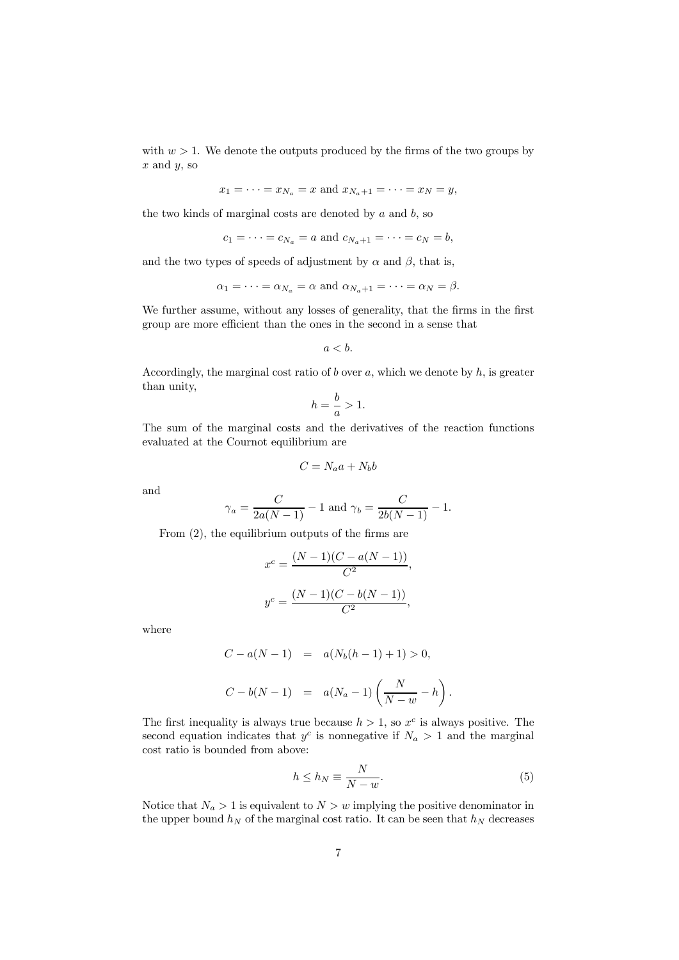with  $w > 1$ . We denote the outputs produced by the firms of the two groups by  $x$  and  $y$ , so

$$
x_1 = \cdots = x_{N_a} = x
$$
 and  $x_{N_a+1} = \cdots = x_N = y$ ,

the two kinds of marginal costs are denoted by  $a$  and  $b$ , so

$$
c_1 = \cdots = c_{N_a} = a
$$
 and  $c_{N_a+1} = \cdots = c_N = b$ ,

and the two types of speeds of adjustment by  $\alpha$  and  $\beta$ , that is,

$$
\alpha_1 = \cdots = \alpha_{N_a} = \alpha
$$
 and  $\alpha_{N_a+1} = \cdots = \alpha_N = \beta$ .

We further assume, without any losses of generality, that the firms in the first group are more efficient than the ones in the second in a sense that

$$
a < b.
$$

Accordingly, the marginal cost ratio of  $b$  over  $a$ , which we denote by  $h$ , is greater than unity,

$$
h = \frac{b}{a} > 1.
$$

The sum of the marginal costs and the derivatives of the reaction functions evaluated at the Cournot equilibrium are

$$
C = N_a a + N_b b
$$

and

$$
\gamma_a = \frac{C}{2a(N-1)} - 1
$$
 and  $\gamma_b = \frac{C}{2b(N-1)} - 1$ .

From (2), the equilibrium outputs of the firms are

$$
x^{c} = \frac{(N-1)(C - a(N - 1))}{C^{2}},
$$

$$
y^{c} = \frac{(N-1)(C - b(N - 1))}{C^{2}},
$$

where

$$
C - a(N - 1) = a(N_b(h - 1) + 1) > 0,
$$
  

$$
C - b(N - 1) = a(N_a - 1) \left(\frac{N}{N - w} - h\right).
$$

The first inequality is always true because  $h > 1$ , so  $x^c$  is always positive. The second equation indicates that  $y^c$  is nonnegative if  $N_a > 1$  and the marginal cost ratio is bounded from above:

$$
h \le h_N \equiv \frac{N}{N - w}.\tag{5}
$$

Notice that  $N_a > 1$  is equivalent to  $N > w$  implying the positive denominator in the upper bound  $h_N$  of the marginal cost ratio. It can be seen that  $h_N$  decreases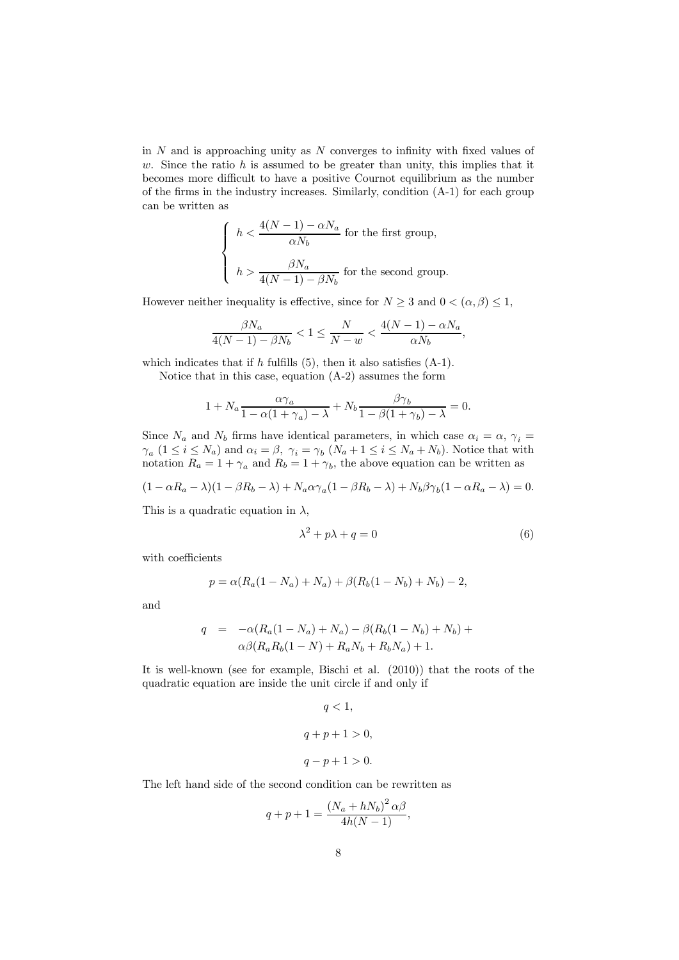in  $N$  and is approaching unity as  $N$  converges to infinity with fixed values of w. Since the ratio  $h$  is assumed to be greater than unity, this implies that it becomes more difficult to have a positive Cournot equilibrium as the number of the firms in the industry increases. Similarly, condition (A-1) for each group can be written as

$$
\left\{ \begin{array}{l} h < \displaystyle \frac{4(N-1) - \alpha N_a}{\alpha N_b} \text{ for the first group,} \\ \\ h > \displaystyle \frac{\beta N_a}{4(N-1) - \beta N_b} \text{ for the second group.} \end{array} \right.
$$

However neither inequality is effective, since for  $N \geq 3$  and  $0 < (\alpha, \beta) \leq 1$ ,

$$
\frac{\beta N_a}{4(N-1)-\beta N_b} < 1 \le \frac{N}{N-w} < \frac{4(N-1)-\alpha N_a}{\alpha N_b},
$$

which indicates that if  $h$  fulfills (5), then it also satisfies  $(A-1)$ .

Notice that in this case, equation (A-2) assumes the form

$$
1 + N_a \frac{\alpha \gamma_a}{1 - \alpha (1 + \gamma_a) - \lambda} + N_b \frac{\beta \gamma_b}{1 - \beta (1 + \gamma_b) - \lambda} = 0.
$$

Since  $N_a$  and  $N_b$  firms have identical parameters, in which case  $\alpha_i = \alpha, \gamma_i =$  $\gamma_a$  (1  $\leq i \leq N_a$ ) and  $\alpha_i = \beta$ ,  $\gamma_i = \gamma_b$  ( $N_a + 1 \leq i \leq N_a + N_b$ ). Notice that with notation  $R_a = 1 + \gamma_a$  and  $R_b = 1 + \gamma_b$ , the above equation can be written as

$$
(1 - \alpha R_a - \lambda)(1 - \beta R_b - \lambda) + N_a \alpha \gamma_a (1 - \beta R_b - \lambda) + N_b \beta \gamma_b (1 - \alpha R_a - \lambda) = 0.
$$

This is a quadratic equation in  $\lambda$ ,

$$
\lambda^2 + p\lambda + q = 0\tag{6}
$$

with coefficients

$$
p = \alpha (R_a(1 - N_a) + N_a) + \beta (R_b(1 - N_b) + N_b) - 2,
$$

and

$$
q = -\alpha (R_a (1 - N_a) + N_a) - \beta (R_b (1 - N_b) + N_b) +
$$
  
 
$$
\alpha \beta (R_a R_b (1 - N) + R_a N_b + R_b N_a) + 1.
$$

It is well-known (see for example, Bischi et al. (2010)) that the roots of the quadratic equation are inside the unit circle if and only if

$$
q < 1,
$$
\n
$$
q + p + 1 > 0,
$$
\n
$$
q - p + 1 > 0.
$$

The left hand side of the second condition can be rewritten as

$$
q + p + 1 = \frac{(N_a + hN_b)^2 \alpha \beta}{4h(N - 1)},
$$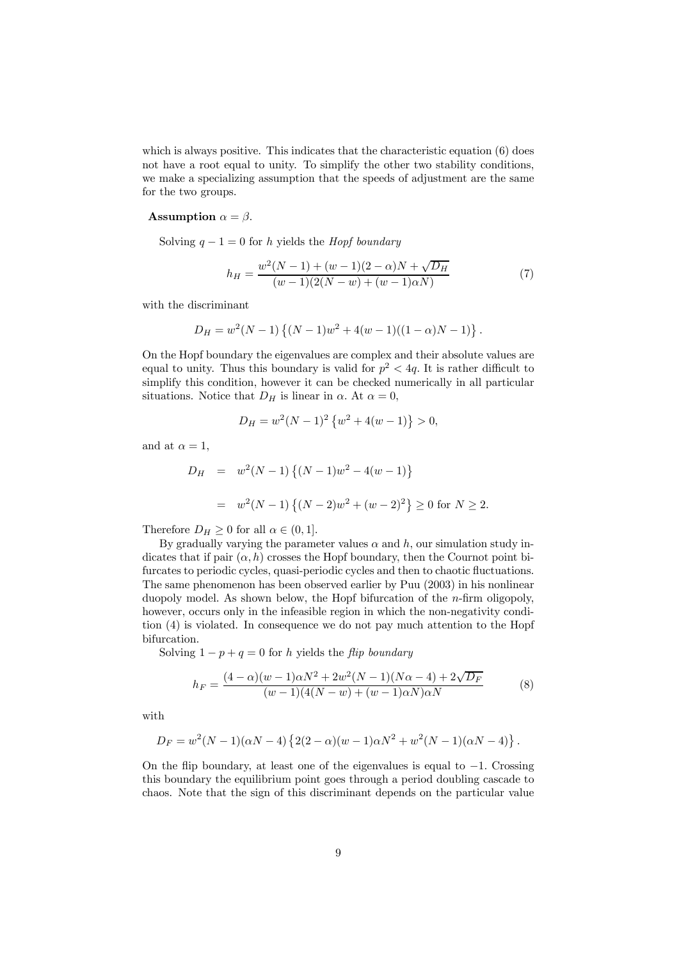which is always positive. This indicates that the characteristic equation (6) does not have a root equal to unity. To simplify the other two stability conditions, we make a specializing assumption that the speeds of adjustment are the same for the two groups.

#### **Assumption**  $\alpha = \beta$ .

Solving  $q - 1 = 0$  for h yields the *Hopf boundary* 

$$
h_H = \frac{w^2(N-1) + (w-1)(2-\alpha)N + \sqrt{D_H}}{(w-1)(2(N-w) + (w-1)\alpha N)}
$$
(7)

with the discriminant

$$
D_H = w^2(N-1)\left\{(N-1)w^2 + 4(w-1)((1-\alpha)N-1)\right\}.
$$

On the Hopf boundary the eigenvalues are complex and their absolute values are equal to unity. Thus this boundary is valid for  $p^2 < 4q$ . It is rather difficult to simplify this condition, however it can be checked numerically in all particular situations. Notice that  $D_H$  is linear in  $\alpha$ . At  $\alpha = 0$ ,

$$
D_H = w^2 (N - 1)^2 \left\{ w^2 + 4(w - 1) \right\} > 0,
$$

and at  $\alpha = 1$ ,

$$
D_H = w^2(N-1)\{(N-1)w^2 - 4(w-1)\}
$$
  
=  $w^2(N-1)\{(N-2)w^2 + (w-2)^2\} \ge 0$  for  $N \ge 2$ .

Therefore  $D_H \geq 0$  for all  $\alpha \in (0, 1]$ .

By gradually varying the parameter values  $\alpha$  and  $h$ , our simulation study indicates that if pair  $(\alpha, h)$  crosses the Hopf boundary, then the Cournot point bifurcates to periodic cycles, quasi-periodic cycles and then to chaotic fluctuations. The same phenomenon has been observed earlier by Puu (2003) in his nonlinear duopoly model. As shown below, the Hopf bifurcation of the  $n$ -firm oligopoly, however, occurs only in the infeasible region in which the non-negativity condition (4) is violated. In consequence we do not pay much attention to the Hopf bifurcation.

Solving  $1 - p + q = 0$  for h yields the flip boundary

$$
h_F = \frac{(4-\alpha)(w-1)\alpha N^2 + 2w^2(N-1)(N\alpha - 4) + 2\sqrt{D_F}}{(w-1)(4(N-w) + (w-1)\alpha N)\alpha N}
$$
(8)

with

$$
D_F = w^2(N-1)(\alpha N - 4)\left\{2(2-\alpha)(w-1)\alpha N^2 + w^2(N-1)(\alpha N - 4)\right\}.
$$

On the flip boundary, at least one of the eigenvalues is equal to −1. Crossing this boundary the equilibrium point goes through a period doubling cascade to chaos. Note that the sign of this discriminant depends on the particular value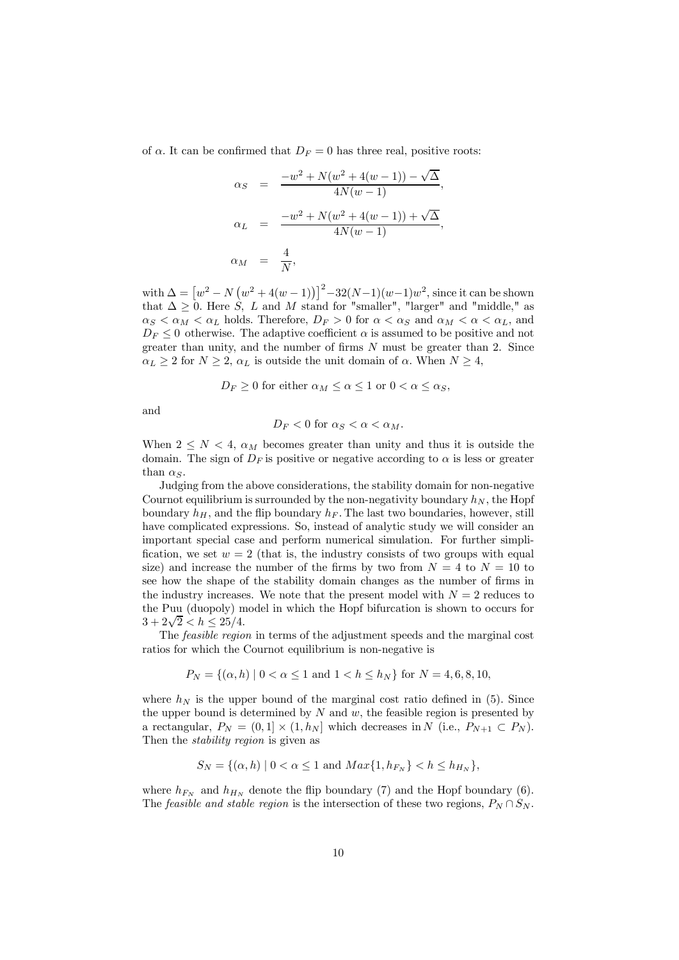of  $\alpha$ . It can be confirmed that  $D_F = 0$  has three real, positive roots:

$$
\alpha_S = \frac{-w^2 + N(w^2 + 4(w - 1)) - \sqrt{\Delta}}{4N(w - 1)},
$$
  
\n
$$
\alpha_L = \frac{-w^2 + N(w^2 + 4(w - 1)) + \sqrt{\Delta}}{4N(w - 1)},
$$
  
\n
$$
\alpha_M = \frac{4}{N},
$$

with  $\Delta = [w^2 - N(w^2 + 4(w - 1))]^2 - 32(N-1)(w-1)w^2$ , since it can be shown that  $\Delta \geq 0$ . Here S, L and M stand for "smaller", "larger" and "middle," as  $\alpha_S < \alpha_M < \alpha_L$  holds. Therefore,  $D_F > 0$  for  $\alpha < \alpha_S$  and  $\alpha_M < \alpha < \alpha_L$ , and  $D_F \leq 0$  otherwise. The adaptive coefficient  $\alpha$  is assumed to be positive and not greater than unity, and the number of firms  $N$  must be greater than 2. Since  $\alpha_L \geq 2$  for  $N \geq 2$ ,  $\alpha_L$  is outside the unit domain of  $\alpha$ . When  $N \geq 4$ ,

$$
D_F \ge 0
$$
 for either  $\alpha_M \le \alpha \le 1$  or  $0 < \alpha \le \alpha_S$ ,

and

$$
D_F < 0 \text{ for } \alpha_S < \alpha < \alpha_M.
$$

When  $2 \leq N < 4$ ,  $\alpha_M$  becomes greater than unity and thus it is outside the domain. The sign of  $D_F$  is positive or negative according to  $\alpha$  is less or greater than  $\alpha_S$ .

Judging from the above considerations, the stability domain for non-negative Cournot equilibrium is surrounded by the non-negativity boundary  $h_N$ , the Hopf boundary  $h_H$ , and the flip boundary  $h_F$ . The last two boundaries, however, still have complicated expressions. So, instead of analytic study we will consider an important special case and perform numerical simulation. For further simplification, we set  $w = 2$  (that is, the industry consists of two groups with equal size) and increase the number of the firms by two from  $N = 4$  to  $N = 10$  to see how the shape of the stability domain changes as the number of firms in the industry increases. We note that the present model with  $N = 2$  reduces to the Puu (duopoly) model in which the Hopf bifurcation is shown to occurs for  $3+2\sqrt{2} < h \leq 25/4.$ 

The feasible region in terms of the adjustment speeds and the marginal cost ratios for which the Cournot equilibrium is non-negative is

$$
P_N = \{ (\alpha, h) \mid 0 < \alpha \le 1 \text{ and } 1 < h \le h_N \} \text{ for } N = 4, 6, 8, 10,
$$

where  $h_N$  is the upper bound of the marginal cost ratio defined in (5). Since the upper bound is determined by  $N$  and  $w$ , the feasible region is presented by a rectangular,  $P_N = (0,1] \times (1,h_N]$  which decreases in N (i.e.,  $P_{N+1} \subset P_N$ ). Then the *stability region* is given as

$$
S_N = \{ (\alpha, h) \mid 0 < \alpha \le 1 \text{ and } Max\{1, h_{F_N}\} < h \le h_{H_N} \},
$$

where  $h_{F_N}$  and  $h_{H_N}$  denote the flip boundary (7) and the Hopf boundary (6). The *feasible and stable region* is the intersection of these two regions,  $P_N \cap S_N$ .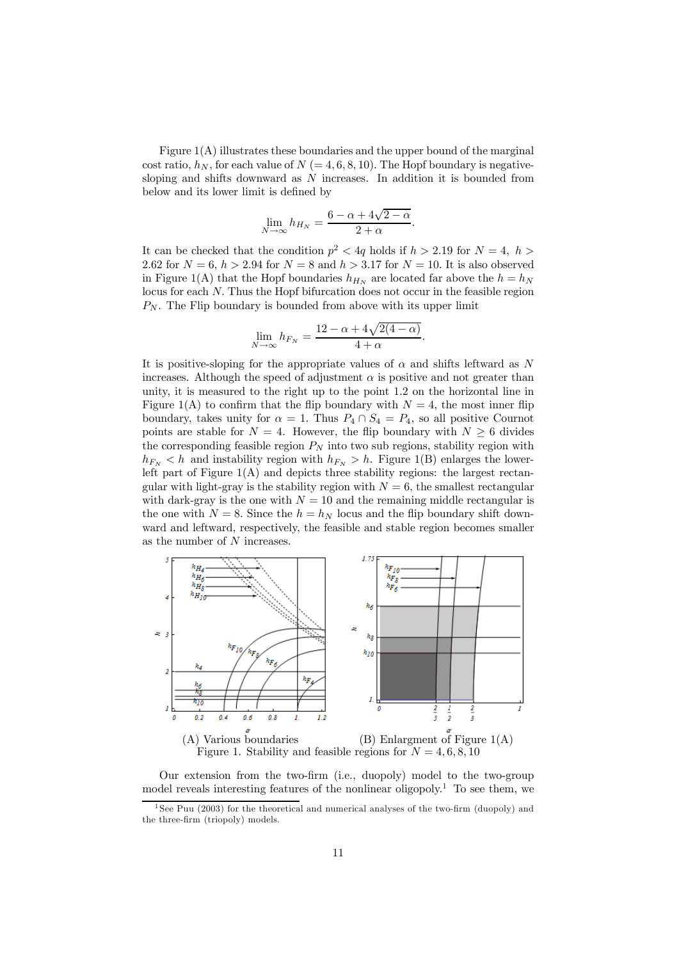Figure  $1(A)$  illustrates these boundaries and the upper bound of the marginal cost ratio,  $h_N$ , for each value of  $N (= 4, 6, 8, 10)$ . The Hopf boundary is negativesloping and shifts downward as  $N$  increases. In addition it is bounded from below and its lower limit is defined by

$$
\lim_{N \to \infty} h_{H_N} = \frac{6 - \alpha + 4\sqrt{2 - \alpha}}{2 + \alpha}.
$$

It can be checked that the condition  $p^2 < 4q$  holds if  $h > 2.19$  for  $N = 4, h >$ 2.62 for  $N = 6, h > 2.94$  for  $N = 8$  and  $h > 3.17$  for  $N = 10$ . It is also observed in Figure 1(A) that the Hopf boundaries  $h_{H_N}$  are located far above the  $h = h_N$ locus for each N. Thus the Hopf bifurcation does not occur in the feasible region  $P_N$ . The Flip boundary is bounded from above with its upper limit

$$
\lim_{N \to \infty} h_{F_N} = \frac{12 - \alpha + 4\sqrt{2(4 - \alpha)}}{4 + \alpha}.
$$

It is positive-sloping for the appropriate values of  $\alpha$  and shifts leftward as N increases. Although the speed of adjustment  $\alpha$  is positive and not greater than unity, it is measured to the right up to the point 1.2 on the horizontal line in Figure 1(A) to confirm that the flip boundary with  $N = 4$ , the most inner flip boundary, takes unity for  $\alpha = 1$ . Thus  $P_4 \cap S_4 = P_4$ , so all positive Cournot points are stable for  $N = 4$ . However, the flip boundary with  $N \geq 6$  divides the corresponding feasible region  $P_N$  into two sub regions, stability region with  $h_{F_N} < h$  and instability region with  $h_{F_N} > h$ . Figure 1(B) enlarges the lowerleft part of Figure  $1(A)$  and depicts three stability regions: the largest rectangular with light-gray is the stability region with  $N = 6$ , the smallest rectangular with dark-gray is the one with  $N = 10$  and the remaining middle rectangular is the one with  $N = 8$ . Since the  $h = h_N$  locus and the flip boundary shift downward and leftward, respectively, the feasible and stable region becomes smaller as the number of N increases.



Our extension from the two-firm (i.e., duopoly) model to the two-group model reveals interesting features of the nonlinear oligopoly.<sup>1</sup> To see them, we

<sup>&</sup>lt;sup>1</sup>See Puu (2003) for the theoretical and numerical analyses of the two-firm (duopoly) and the three-firm (triopoly) models.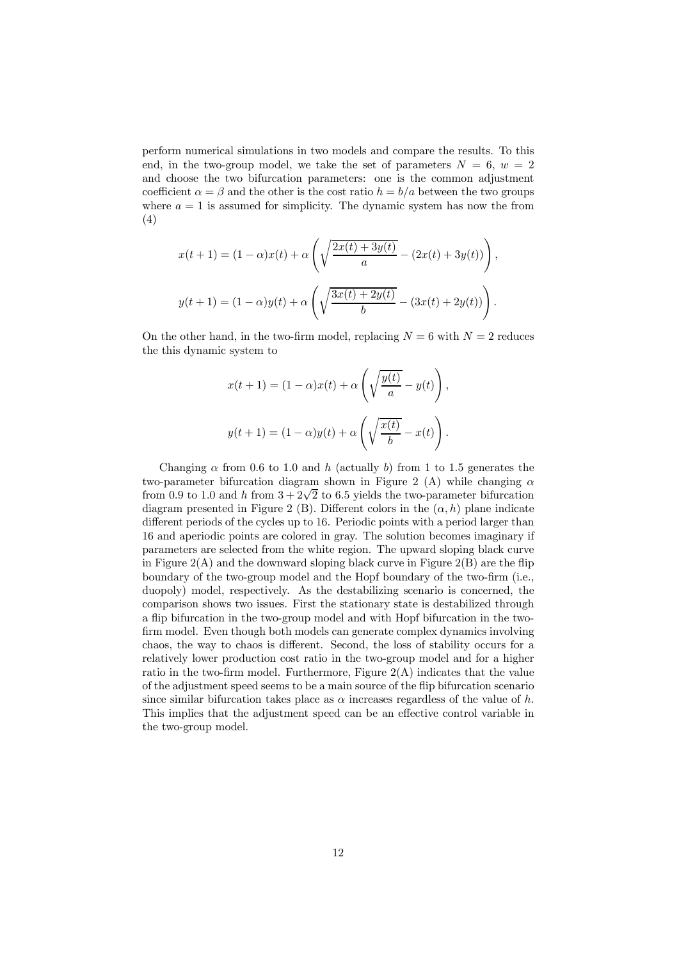perform numerical simulations in two models and compare the results. To this end, in the two-group model, we take the set of parameters  $N = 6, w = 2$ and choose the two bifurcation parameters: one is the common adjustment coefficient  $\alpha = \beta$  and the other is the cost ratio  $h = b/a$  between the two groups where  $a = 1$  is assumed for simplicity. The dynamic system has now the from (4)

$$
x(t+1) = (1 - \alpha)x(t) + \alpha \left( \sqrt{\frac{2x(t) + 3y(t)}{a}} - (2x(t) + 3y(t)) \right),
$$
  

$$
y(t+1) = (1 - \alpha)y(t) + \alpha \left( \sqrt{\frac{3x(t) + 2y(t)}{b}} - (3x(t) + 2y(t)) \right).
$$

On the other hand, in the two-firm model, replacing  $N = 6$  with  $N = 2$  reduces the this dynamic system to

$$
x(t+1) = (1-\alpha)x(t) + \alpha \left(\sqrt{\frac{y(t)}{a}} - y(t)\right),
$$

$$
y(t+1) = (1-\alpha)y(t) + \alpha \left(\sqrt{\frac{x(t)}{b}} - x(t)\right).
$$

Changing  $\alpha$  from 0.6 to 1.0 and h (actually b) from 1 to 1.5 generates the two-parameter bifurcation diagram shown in Figure 2 (A) while changing  $\alpha$ from 0.9 to 1.0 and h from  $3+2\sqrt{2}$  to 6.5 yields the two-parameter bifurcation diagram presented in Figure 2 (B). Different colors in the  $(\alpha, h)$  plane indicate different periods of the cycles up to 16. Periodic points with a period larger than 16 and aperiodic points are colored in gray. The solution becomes imaginary if parameters are selected from the white region. The upward sloping black curve in Figure  $2(A)$  and the downward sloping black curve in Figure  $2(B)$  are the flip boundary of the two-group model and the Hopf boundary of the two-firm (i.e., duopoly) model, respectively. As the destabilizing scenario is concerned, the comparison shows two issues. First the stationary state is destabilized through a flip bifurcation in the two-group model and with Hopf bifurcation in the twofirm model. Even though both models can generate complex dynamics involving chaos, the way to chaos is different. Second, the loss of stability occurs for a relatively lower production cost ratio in the two-group model and for a higher ratio in the two-firm model. Furthermore, Figure 2(A) indicates that the value of the adjustment speed seems to be a main source of the flip bifurcation scenario since similar bifurcation takes place as  $\alpha$  increases regardless of the value of h. This implies that the adjustment speed can be an effective control variable in the two-group model.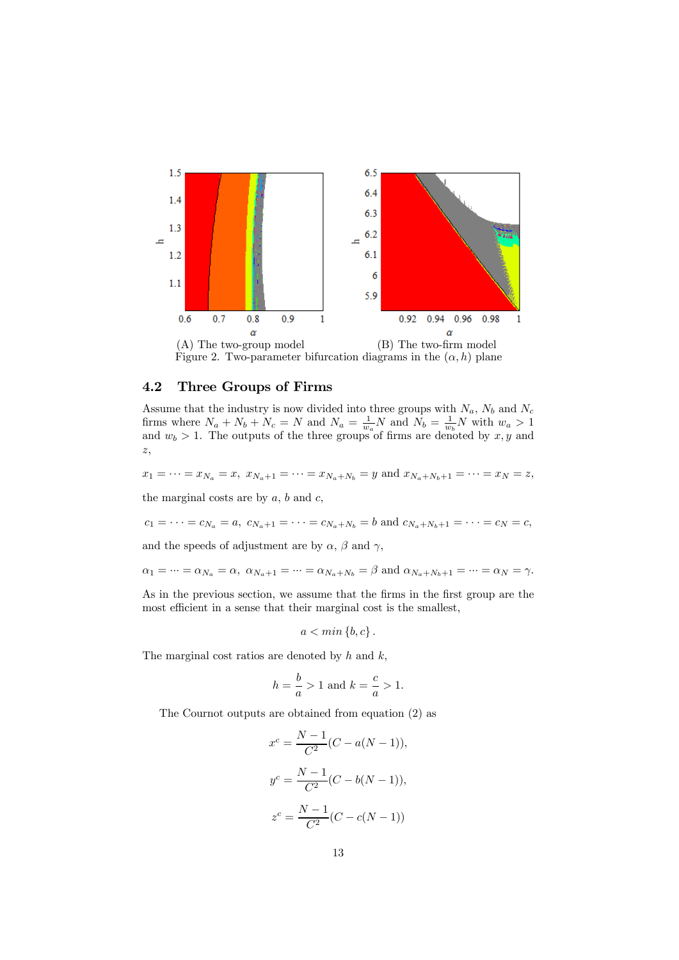

Figure 2. Two-parameter bifurcation diagrams in the  $(\alpha, h)$  plane

#### 4.2 Three Groups of Firms

Assume that the industry is now divided into three groups with  $N_a$ ,  $N_b$  and  $N_c$ firms where  $N_a + N_b + N_c = N$  and  $N_a = \frac{1}{w_a} N$  and  $N_b = \frac{1}{w_b} N$  with  $w_a > 1$ and  $w_b > 1$ . The outputs of the three groups of firms are denoted by  $x, y$  and z,

 $x_1 = \cdots = x_{N_a} = x$ ,  $x_{N_a+1} = \cdots = x_{N_a+N_b} = y$  and  $x_{N_a+N_b+1} = \cdots = x_N = z$ ,

the marginal costs are by  $a, b$  and  $c,$ 

$$
c_1 = \cdots = c_{N_a} = a
$$
,  $c_{N_a+1} = \cdots = c_{N_a+N_b} = b$  and  $c_{N_a+N_b+1} = \cdots = c_N = c$ ,

and the speeds of adjustment are by  $\alpha$ ,  $\beta$  and  $\gamma$ ,

$$
\alpha_1=\cdots=\alpha_{N_a}=\alpha,\,\,\alpha_{N_a+1}=\cdots=\alpha_{N_a+N_b}=\beta\,\,\text{and}\,\,\alpha_{N_a+N_b+1}=\cdots=\alpha_N=\gamma.
$$

As in the previous section, we assume that the firms in the first group are the most efficient in a sense that their marginal cost is the smallest,

$$
a < \min\left\{b, c\right\}.
$$

The marginal cost ratios are denoted by  $h$  and  $k$ ,

$$
h = \frac{b}{a} > 1
$$
 and  $k = \frac{c}{a} > 1$ .

The Cournot outputs are obtained from equation (2) as

$$
x^{c} = \frac{N-1}{C^{2}}(C - a(N - 1)),
$$
  
\n
$$
y^{c} = \frac{N-1}{C^{2}}(C - b(N - 1)),
$$
  
\n
$$
z^{c} = \frac{N-1}{C^{2}}(C - c(N - 1))
$$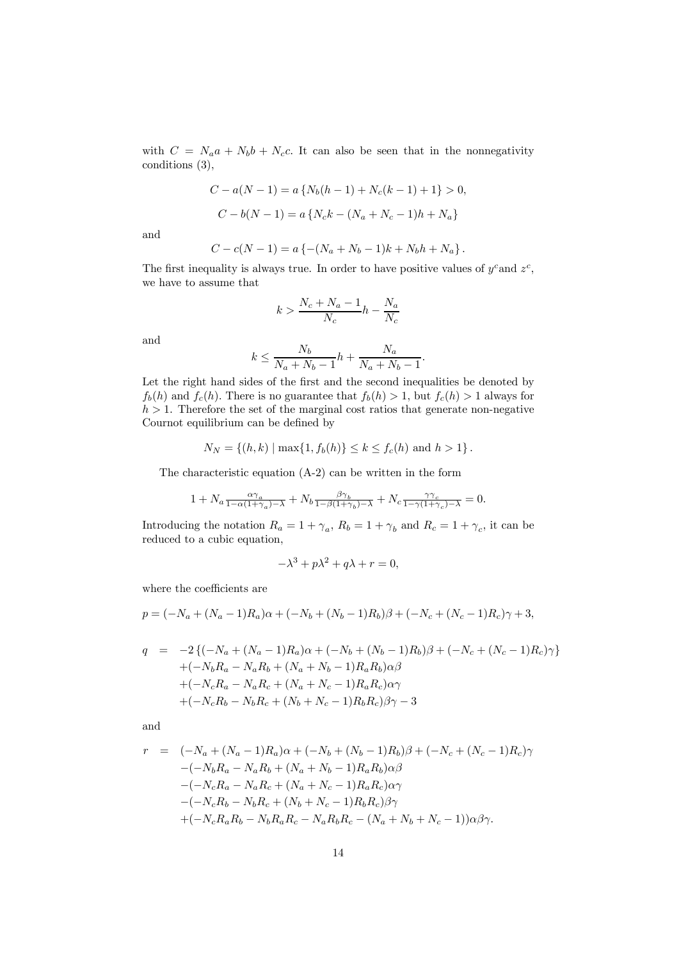with  $C = N_a a + N_b b + N_c c$ . It can also be seen that in the nonnegativity conditions (3),

$$
C - a(N - 1) = a \{ N_b(h - 1) + N_c(k - 1) + 1 \} > 0,
$$
  

$$
C - b(N - 1) = a \{ N_c k - (N_a + N_c - 1)h + N_a \}
$$

and

$$
C - c(N - 1) = a \{ -(N_a + N_b - 1)k + N_b h + N_a \}.
$$

The first inequality is always true. In order to have positive values of  $y^c$  and  $z^c$ , we have to assume that

$$
k > \frac{N_c + N_a - 1}{N_c}h - \frac{N_a}{N_c}
$$

and

$$
k \le \frac{N_b}{N_a + N_b - 1}h + \frac{N_a}{N_a + N_b - 1}.
$$

Let the right hand sides of the first and the second inequalities be denoted by  $f_b(h)$  and  $f_c(h)$ . There is no guarantee that  $f_b(h) > 1$ , but  $f_c(h) > 1$  always for  $h > 1$ . Therefore the set of the marginal cost ratios that generate non-negative Cournot equilibrium can be defined by

$$
N_N = \{(h, k) \mid \max\{1, f_b(h)\} \le k \le f_c(h) \text{ and } h > 1\}.
$$

The characteristic equation (A-2) can be written in the form

$$
1 + N_a \frac{\alpha \gamma_a}{1 - \alpha (1 + \gamma_a) - \lambda} + N_b \frac{\beta \gamma_b}{1 - \beta (1 + \gamma_b) - \lambda} + N_c \frac{\gamma \gamma_c}{1 - \gamma (1 + \gamma_c) - \lambda} = 0.
$$

Introducing the notation  $R_a = 1 + \gamma_a$ ,  $R_b = 1 + \gamma_b$  and  $R_c = 1 + \gamma_c$ , it can be reduced to a cubic equation,

$$
-\lambda^3 + p\lambda^2 + q\lambda + r = 0,
$$

where the coefficients are

$$
p = (-N_a + (N_a - 1)R_a)\alpha + (-N_b + (N_b - 1)R_b)\beta + (-N_c + (N_c - 1)R_c)\gamma + 3,
$$

$$
q = -2\{(-N_a + (N_a - 1)R_a)\alpha + (-N_b + (N_b - 1)R_b)\beta + (-N_c + (N_c - 1)R_c)\gamma\}
$$
  
+ $(-N_bR_a - N_aR_b + (N_a + N_b - 1)R_aR_b)\alpha\beta$   
+ $(-N_cR_a - N_aR_c + (N_a + N_c - 1)R_aR_c)\alpha\gamma$   
+ $(-N_cR_b - N_bR_c + (N_b + N_c - 1)R_bR_c)\beta\gamma - 3$ 

and

$$
r = (-N_a + (N_a - 1)R_a)\alpha + (-N_b + (N_b - 1)R_b)\beta + (-N_c + (N_c - 1)R_c)\gamma
$$
  

$$
-(-N_bR_a - N_aR_b + (N_a + N_b - 1)R_aR_b)\alpha\beta
$$
  

$$
-(-N_cR_a - N_aR_c + (N_a + N_c - 1)R_aR_c)\alpha\gamma
$$
  

$$
-(-N_cR_b - N_bR_c + (N_b + N_c - 1)R_bR_c)\beta\gamma
$$
  

$$
+(-N_cR_aR_b - N_bR_aR_c - N_aR_bR_c - (N_a + N_b + N_c - 1))\alpha\beta\gamma.
$$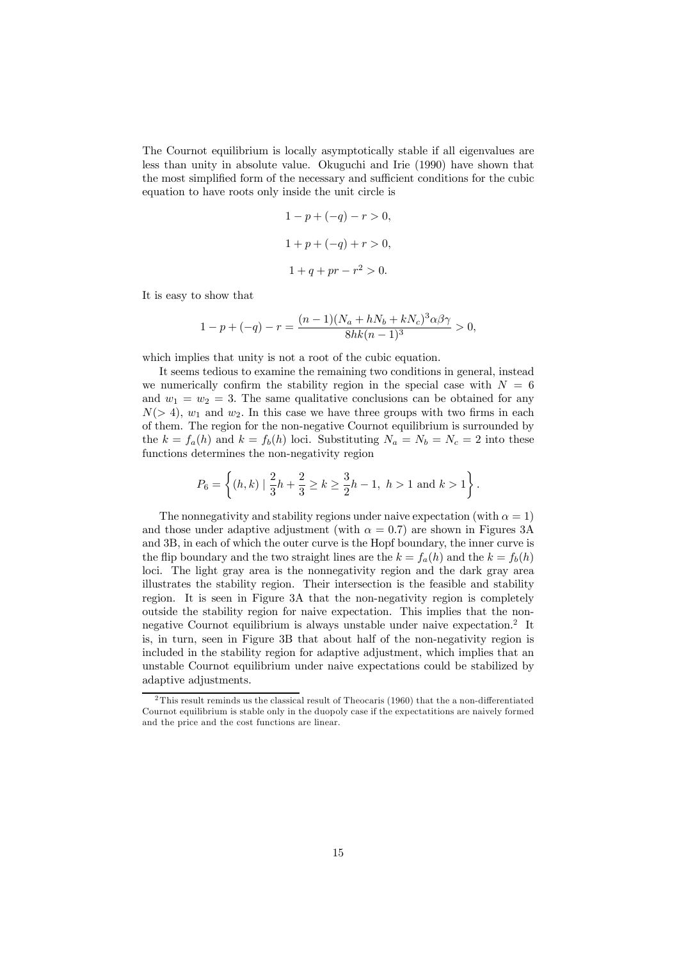The Cournot equilibrium is locally asymptotically stable if all eigenvalues are less than unity in absolute value. Okuguchi and Irie (1990) have shown that the most simplified form of the necessary and sufficient conditions for the cubic equation to have roots only inside the unit circle is

$$
1 - p + (-q) - r > 0,
$$
  

$$
1 + p + (-q) + r > 0,
$$
  

$$
1 + q + pr - r2 > 0.
$$

It is easy to show that

$$
1 - p + (-q) - r = \frac{(n-1)(N_a + hN_b + kN_c)^3 \alpha \beta \gamma}{8hk(n-1)^3} > 0,
$$

which implies that unity is not a root of the cubic equation.

It seems tedious to examine the remaining two conditions in general, instead we numerically confirm the stability region in the special case with  $N = 6$ and  $w_1 = w_2 = 3$ . The same qualitative conclusions can be obtained for any  $N(> 4)$ ,  $w_1$  and  $w_2$ . In this case we have three groups with two firms in each of them. The region for the non-negative Cournot equilibrium is surrounded by the  $k = f_a(h)$  and  $k = f_b(h)$  loci. Substituting  $N_a = N_b = N_c = 2$  into these functions determines the non-negativity region

$$
P_6 = \left\{ (h,k) \mid \frac{2}{3}h + \frac{2}{3} \ge k \ge \frac{3}{2}h - 1, \ h > 1 \text{ and } k > 1 \right\}.
$$

The nonnegativity and stability regions under naive expectation (with  $\alpha = 1$ ) and those under adaptive adjustment (with  $\alpha = 0.7$ ) are shown in Figures 3A and 3B, in each of which the outer curve is the Hopf boundary, the inner curve is the flip boundary and the two straight lines are the  $k = f_a(h)$  and the  $k = f_b(h)$ loci. The light gray area is the nonnegativity region and the dark gray area illustrates the stability region. Their intersection is the feasible and stability region. It is seen in Figure 3A that the non-negativity region is completely outside the stability region for naive expectation. This implies that the nonnegative Cournot equilibrium is always unstable under naive expectation.<sup>2</sup> It is, in turn, seen in Figure 3B that about half of the non-negativity region is included in the stability region for adaptive adjustment, which implies that an unstable Cournot equilibrium under naive expectations could be stabilized by adaptive adjustments.

<sup>&</sup>lt;sup>2</sup>This result reminds us the classical result of Theocaris (1960) that the a non-differentiated Cournot equilibrium is stable only in the duopoly case if the expectatitions are naively formed and the price and the cost functions are linear.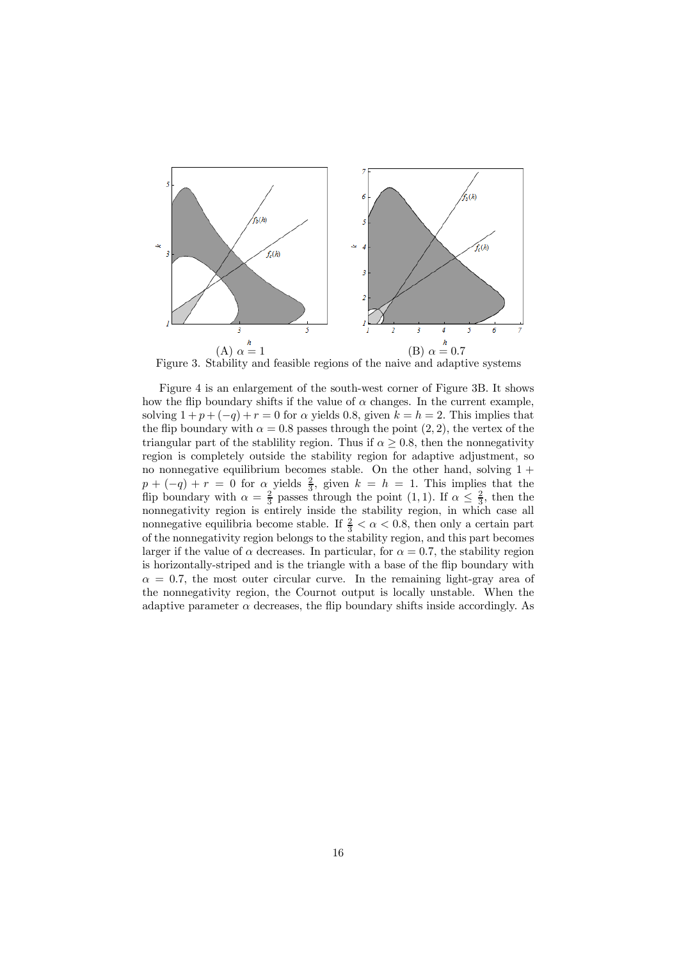

Figure 3. Stability and feasible regions of the naive and adaptive systems

Figure 4 is an enlargement of the south-west corner of Figure 3B. It shows how the flip boundary shifts if the value of  $\alpha$  changes. In the current example, solving  $1 + p + (-q) + r = 0$  for  $\alpha$  yields 0.8, given  $k = h = 2$ . This implies that the flip boundary with  $\alpha = 0.8$  passes through the point  $(2, 2)$ , the vertex of the triangular part of the stablility region. Thus if  $\alpha \geq 0.8$ , then the nonnegativity region is completely outside the stability region for adaptive adjustment, so no nonnegative equilibrium becomes stable. On the other hand, solving  $1 +$  $p + (-q) + r = 0$  for  $\alpha$  yields  $\frac{2}{3}$ , given  $k = h = 1$ . This implies that the flip boundary with  $\alpha = \frac{2}{3}$  passes through the point  $(1, 1)$ . If  $\alpha \leq \frac{2}{3}$ , then the nonnegativity region is entirely inside the stability region, in which case all nonnegative equilibria become stable. If  $\frac{2}{3} < \alpha < 0.8$ , then only a certain part of the nonnegativity region belongs to the stability region, and this part becomes larger if the value of  $\alpha$  decreases. In particular, for  $\alpha = 0.7$ , the stability region is horizontally-striped and is the triangle with a base of the flip boundary with  $\alpha = 0.7$ , the most outer circular curve. In the remaining light-gray area of the nonnegativity region, the Cournot output is locally unstable. When the adaptive parameter  $\alpha$  decreases, the flip boundary shifts inside accordingly. As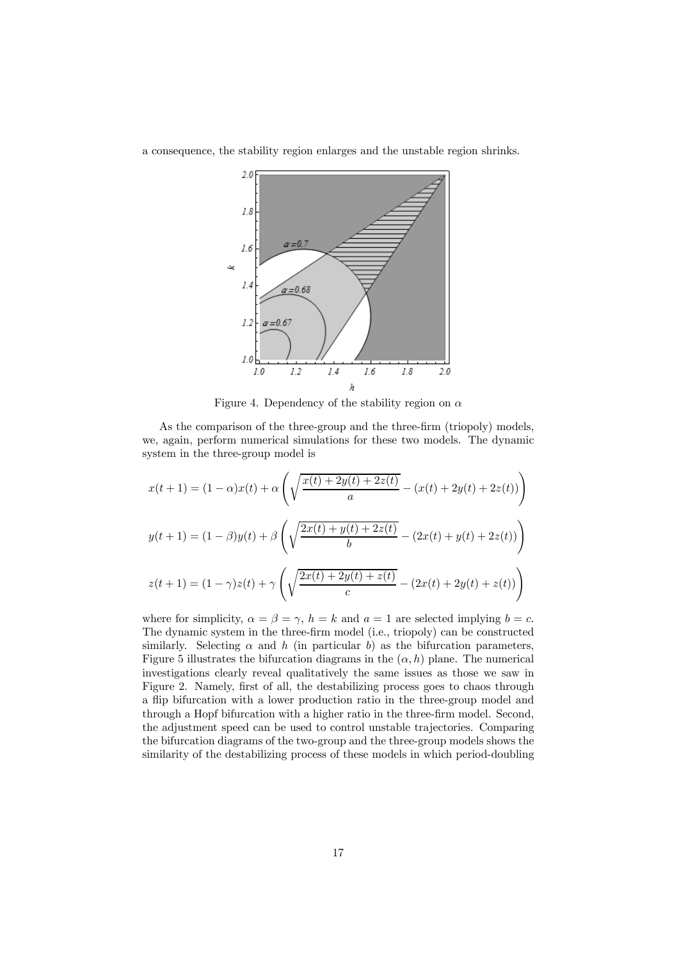

a consequence, the stability region enlarges and the unstable region shrinks.

Figure 4. Dependency of the stability region on  $\alpha$ 

As the comparison of the three-group and the three-firm (triopoly) models, we, again, perform numerical simulations for these two models. The dynamic system in the three-group model is

$$
x(t+1) = (1 - \alpha)x(t) + \alpha \left( \sqrt{\frac{x(t) + 2y(t) + 2z(t)}{a}} - (x(t) + 2y(t) + 2z(t)) \right)
$$
  

$$
y(t+1) = (1 - \beta)y(t) + \beta \left( \sqrt{\frac{2x(t) + y(t) + 2z(t)}{b}} - (2x(t) + y(t) + 2z(t)) \right)
$$
  

$$
z(t+1) = (1 - \gamma)z(t) + \gamma \left( \sqrt{\frac{2x(t) + 2y(t) + z(t)}{c}} - (2x(t) + 2y(t) + z(t)) \right)
$$

where for simplicity,  $\alpha = \beta = \gamma$ ,  $h = k$  and  $a = 1$  are selected implying  $b = c$ . The dynamic system in the three-firm model (i.e., triopoly) can be constructed similarly. Selecting  $\alpha$  and h (in particular b) as the bifurcation parameters, Figure 5 illustrates the bifurcation diagrams in the  $(\alpha, h)$  plane. The numerical investigations clearly reveal qualitatively the same issues as those we saw in Figure 2. Namely, first of all, the destabilizing process goes to chaos through a flip bifurcation with a lower production ratio in the three-group model and through a Hopf bifurcation with a higher ratio in the three-firm model. Second, the adjustment speed can be used to control unstable trajectories. Comparing the bifurcation diagrams of the two-group and the three-group models shows the similarity of the destabilizing process of these models in which period-doubling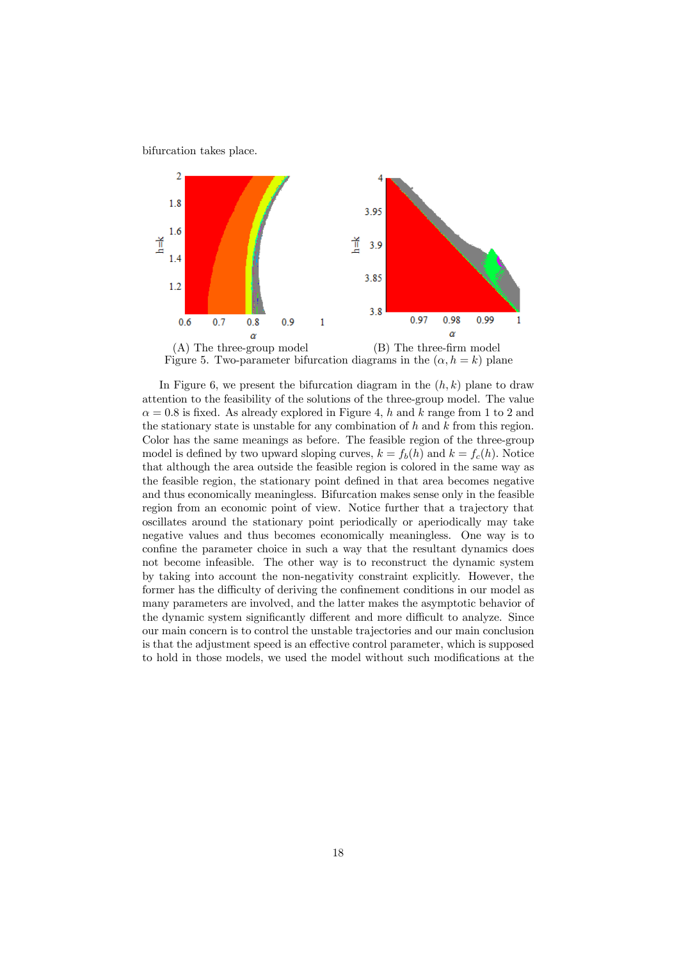bifurcation takes place.



In Figure 6, we present the bifurcation diagram in the  $(h, k)$  plane to draw attention to the feasibility of the solutions of the three-group model. The value  $\alpha = 0.8$  is fixed. As already explored in Figure 4, h and k range from 1 to 2 and the stationary state is unstable for any combination of  $h$  and  $k$  from this region. Color has the same meanings as before. The feasible region of the three-group model is defined by two upward sloping curves,  $k = f_b(h)$  and  $k = f_c(h)$ . Notice that although the area outside the feasible region is colored in the same way as the feasible region, the stationary point defined in that area becomes negative and thus economically meaningless. Bifurcation makes sense only in the feasible region from an economic point of view. Notice further that a trajectory that oscillates around the stationary point periodically or aperiodically may take negative values and thus becomes economically meaningless. One way is to confine the parameter choice in such a way that the resultant dynamics does not become infeasible. The other way is to reconstruct the dynamic system by taking into account the non-negativity constraint explicitly. However, the former has the difficulty of deriving the confinement conditions in our model as many parameters are involved, and the latter makes the asymptotic behavior of the dynamic system significantly different and more difficult to analyze. Since our main concern is to control the unstable trajectories and our main conclusion is that the adjustment speed is an effective control parameter, which is supposed to hold in those models, we used the model without such modifications at the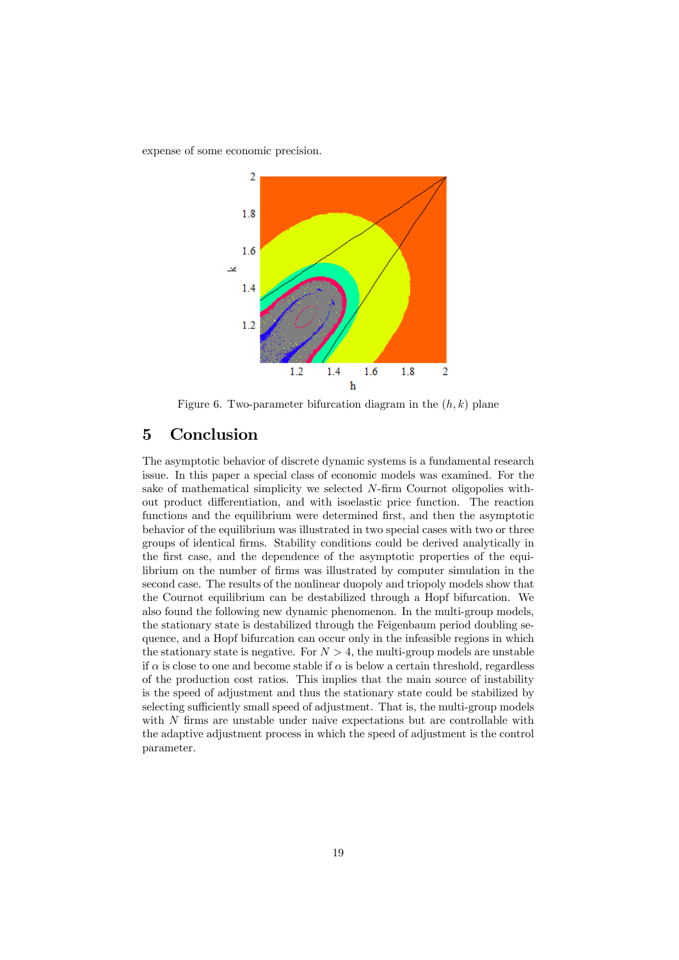expense of some economic precision.



Figure 6. Two-parameter bifurcation diagram in the  $(h, k)$  plane

### 5 Conclusion

The asymptotic behavior of discrete dynamic systems is a fundamental research issue. In this paper a special class of economic models was examined. For the sake of mathematical simplicity we selected N-firm Cournot oligopolies without product differentiation, and with isoelastic price function. The reaction functions and the equilibrium were determined first, and then the asymptotic behavior of the equilibrium was illustrated in two special cases with two or three groups of identical firms. Stability conditions could be derived analytically in the first case, and the dependence of the asymptotic properties of the equilibrium on the number of firms was illustrated by computer simulation in the second case. The results of the nonlinear duopoly and triopoly models show that the Cournot equilibrium can be destabilized through a Hopf bifurcation. We also found the following new dynamic phenomenon. In the multi-group models, the stationary state is destabilized through the Feigenbaum period doubling sequence, and a Hopf bifurcation can occur only in the infeasible regions in which the stationary state is negative. For  $N > 4$ , the multi-group models are unstable if  $\alpha$  is close to one and become stable if  $\alpha$  is below a certain threshold, regardless of the production cost ratios. This implies that the main source of instability is the speed of adjustment and thus the stationary state could be stabilized by selecting sufficiently small speed of adjustment. That is, the multi-group models with  $N$  firms are unstable under naive expectations but are controllable with the adaptive adjustment process in which the speed of adjustment is the control parameter.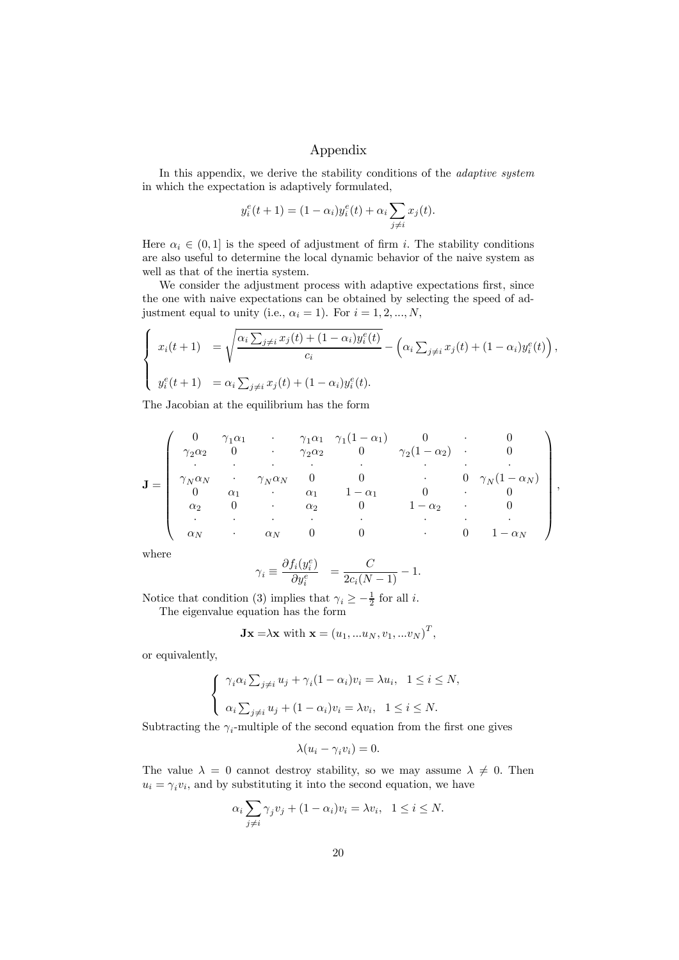#### Appendix

In this appendix, we derive the stability conditions of the *adaptive system* in which the expectation is adaptively formulated,

$$
y_i^e(t+1) = (1 - \alpha_i)y_i^e(t) + \alpha_i \sum_{j \neq i} x_j(t).
$$

Here  $\alpha_i \in (0,1]$  is the speed of adjustment of firm i. The stability conditions are also useful to determine the local dynamic behavior of the naive system as well as that of the inertia system.

We consider the adjustment process with adaptive expectations first, since the one with naive expectations can be obtained by selecting the speed of adjustment equal to unity (i.e.,  $\alpha_i = 1$ ). For  $i = 1, 2, ..., N$ ,

$$
\begin{cases}\nx_i(t+1) = \sqrt{\frac{\alpha_i \sum_{j\neq i} x_j(t) + (1-\alpha_i)y_i^e(t)}{c_i}} - \left(\alpha_i \sum_{j\neq i} x_j(t) + (1-\alpha_i)y_i^e(t)\right), \\
y_i^e(t+1) = \alpha_i \sum_{j\neq i} x_j(t) + (1-\alpha_i)y_i^e(t).\n\end{cases}
$$

The Jacobian at the equilibrium has the form

$$
\mathbf{J} = \begin{pmatrix}\n0 & \gamma_1 \alpha_1 & \cdot & \gamma_1 \alpha_1 & \gamma_1 (1 - \alpha_1) & 0 & \cdot & 0 \\
\gamma_2 \alpha_2 & 0 & \cdot & \gamma_2 \alpha_2 & 0 & \gamma_2 (1 - \alpha_2) & \cdot & 0 \\
\cdot & \cdot & \cdot & \cdot & \cdot & \cdot & \cdot \\
\gamma_N \alpha_N & \cdot & \gamma_N \alpha_N & 0 & 0 & \cdot & 0 & \gamma_N (1 - \alpha_N) \\
0 & \alpha_1 & \cdot & \alpha_1 & 1 - \alpha_1 & 0 & \cdot & 0 \\
\alpha_2 & 0 & \cdot & \alpha_2 & 0 & 1 - \alpha_2 & \cdot & 0 \\
\cdot & \cdot & \cdot & \cdot & \cdot & \cdot & \cdot \\
\alpha_N & \cdot & \alpha_N & 0 & 0 & \cdot & 0 & 1 - \alpha_N\n\end{pmatrix},
$$

where

$$
\gamma_i \equiv \frac{\partial f_i(y_i^e)}{\partial y_i^e} = \frac{C}{2c_i(N-1)} - 1.
$$

Notice that condition (3) implies that  $\gamma_i \geq -\frac{1}{2}$  for all *i*.

The eigenvalue equation has the form

$$
\mathbf{Jx} = \lambda \mathbf{x} \text{ with } \mathbf{x} = (u_1, \dots u_N, v_1, \dots v_N)^T,
$$

or equivalently,

$$
\begin{cases} \gamma_i \alpha_i \sum_{j \neq i} u_j + \gamma_i (1 - \alpha_i) v_i = \lambda u_i, & 1 \leq i \leq N, \\ \alpha_i \sum_{j \neq i} u_j + (1 - \alpha_i) v_i = \lambda v_i, & 1 \leq i \leq N. \end{cases}
$$

Subtracting the  $\gamma_i$ -multiple of the second equation from the first one gives

$$
\lambda(u_i - \gamma_i v_i) = 0.
$$

The value  $\lambda = 0$  cannot destroy stability, so we may assume  $\lambda \neq 0$ . Then  $u_i = \gamma_i v_i$ , and by substituting it into the second equation, we have

$$
\alpha_i \sum_{j \neq i} \gamma_j v_j + (1 - \alpha_i) v_i = \lambda v_i, \quad 1 \leq i \leq N.
$$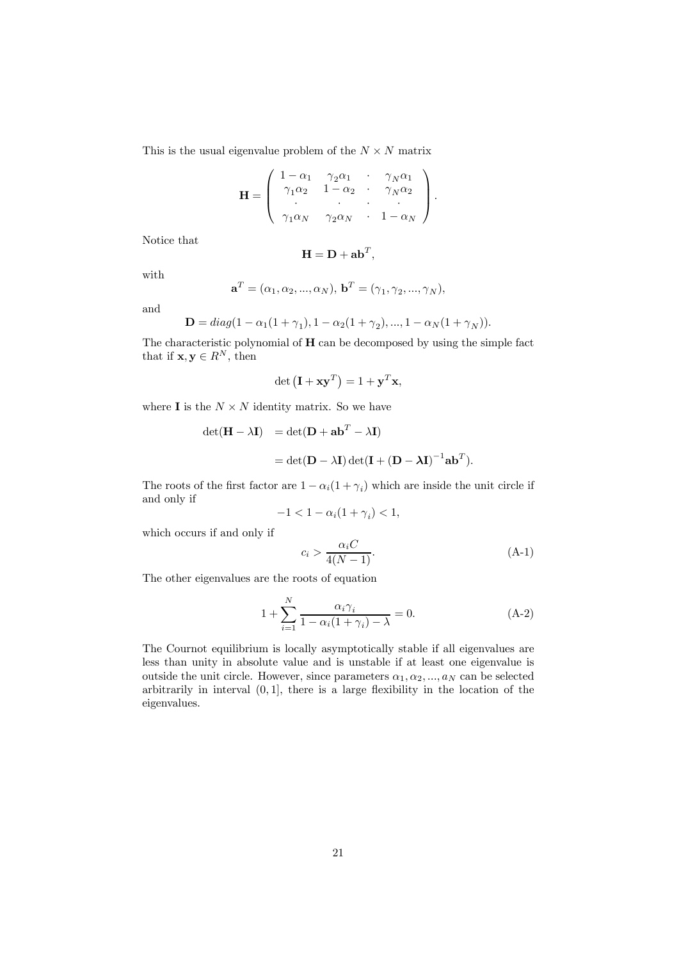This is the usual eigenvalue problem of the  $N \times N$  matrix

$$
\mathbf{H} = \left( \begin{array}{cccc} 1 - \alpha_1 & \gamma_2 \alpha_1 & \cdot & \gamma_N \alpha_1 \\ \gamma_1 \alpha_2 & 1 - \alpha_2 & \cdot & \gamma_N \alpha_2 \\ \cdot & \cdot & \cdot & \cdot \\ \gamma_1 \alpha_N & \gamma_2 \alpha_N & \cdot & 1 - \alpha_N \end{array} \right).
$$

Notice that

$$
\mathbf{H} = \mathbf{D} + \mathbf{a} \mathbf{b}^T,
$$

with

$$
\mathbf{a}^T = (\alpha_1, \alpha_2, ..., \alpha_N), \mathbf{b}^T = (\gamma_1, \gamma_2, ..., \gamma_N),
$$

and

$$
\mathbf{D} = diag(1 - \alpha_1(1 + \gamma_1), 1 - \alpha_2(1 + \gamma_2), ..., 1 - \alpha_N(1 + \gamma_N)).
$$

The characteristic polynomial of  $H$  can be decomposed by using the simple fact that if  $\mathbf{x}, \mathbf{y} \in R^N$ , then

$$
\det\left(\mathbf{I} + \mathbf{x}\mathbf{y}^T\right) = 1 + \mathbf{y}^T\mathbf{x},
$$

where **I** is the  $N \times N$  identity matrix. So we have

$$
\begin{aligned} \det(\mathbf{H} - \lambda \mathbf{I}) &= \det(\mathbf{D} + \mathbf{a}\mathbf{b}^T - \lambda \mathbf{I}) \\ &= \det(\mathbf{D} - \lambda \mathbf{I}) \det(\mathbf{I} + (\mathbf{D} - \lambda \mathbf{I})^{-1} \mathbf{a}\mathbf{b}^T). \end{aligned}
$$

The roots of the first factor are  $1 - \alpha_i(1 + \gamma_i)$  which are inside the unit circle if and only if

$$
-1 < 1 - \alpha_i (1 + \gamma_i) < 1,
$$

which occurs if and only if

$$
c_i > \frac{\alpha_i C}{4(N-1)}.\tag{A-1}
$$

The other eigenvalues are the roots of equation

$$
1 + \sum_{i=1}^{N} \frac{\alpha_i \gamma_i}{1 - \alpha_i (1 + \gamma_i) - \lambda} = 0.
$$
 (A-2)

The Cournot equilibrium is locally asymptotically stable if all eigenvalues are less than unity in absolute value and is unstable if at least one eigenvalue is outside the unit circle. However, since parameters  $\alpha_1, \alpha_2, ..., \alpha_N$  can be selected arbitrarily in interval  $(0, 1]$ , there is a large flexibility in the location of the eigenvalues.